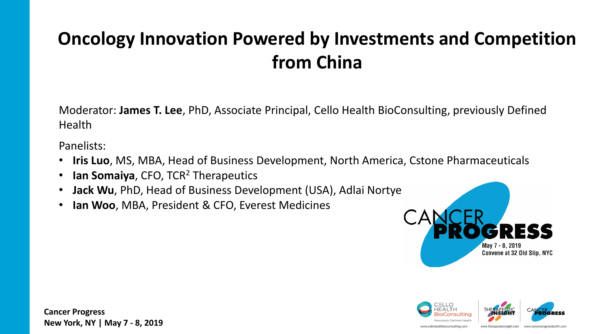# **Oncology Innovation Powered by Investments and Competition from China**

Moderator: **James T. Lee**, PhD, Associate Principal, Cello Health BioConsulting, previously Defined Health

Panelists:

- **Iris Luo**, MS, MBA, Head of Business Development, North America, Cstone Pharmaceuticals
- **Ian Somaiya**, CFO, TCR<sup>2</sup> Therapeutics
- **Jack Wu**, PhD, Head of Business Development (USA), Adlai Nortye
- **Ian Woo**, MBA, President & CFO, Everest Medicines





**Cancer Progress New York, NY | May 7 - 8, 2019**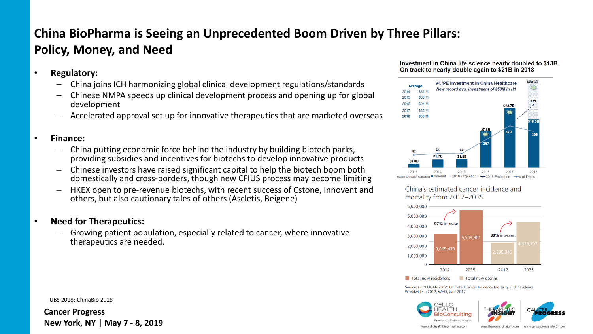# **China BioPharma is Seeing an Unprecedented Boom Driven by Three Pillars: Policy, Money, and Need**

- **Regulatory:**
	- China joins ICH harmonizing global clinical development regulations/standards
	- Chinese NMPA speeds up clinical development process and opening up for global development
	- Accelerated approval set up for innovative therapeutics that are marketed overseas

### • **Finance:**

- China putting economic force behind the industry by building biotech parks, providing subsidies and incentives for biotechs to develop innovative products
- Chinese investors have raised significant capital to help the biotech boom both domestically and cross-borders, though new CFIUS process may become limiting
- HKEX open to pre-revenue biotechs, with recent success of Cstone, Innovent and others, but also cautionary tales of others (Ascletis, Beigene)

### • **Need for Therapeutics:**

– Growing patient population, especially related to cancer, where innovative therapeutics are needed.

#### UBS 2018; ChinaBio 2018

**Cancer Progress New York, NY | May 7 - 8, 2019**

#### Investment in China life science nearly doubled to \$13B On track to nearly double again to \$21B in 2018



China's estimated cancer incidence and mortality from 2012-2035



Source: GLOBOCAN 2012: Estimated Cancer Incidence Mortality and Prevalence Worldwide in 2012, WHO, June 2017